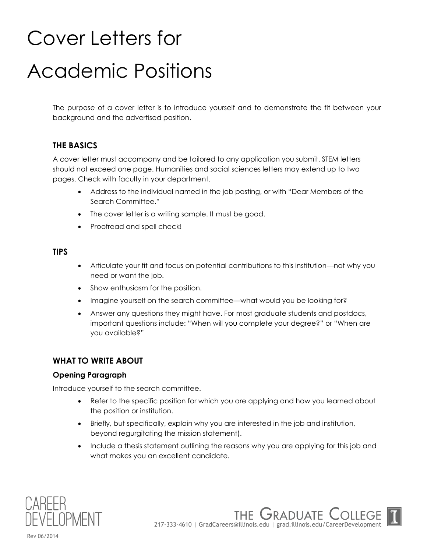# Cover Letters for Academic Positions

The purpose of a cover letter is to introduce yourself and to demonstrate the fit between your background and the advertised position.

### **THE BASICS**

A cover letter must accompany and be tailored to any application you submit. STEM letters should not exceed one page. Humanities and social sciences letters may extend up to two pages. Check with faculty in your department.

- Address to the individual named in the job posting, or with "Dear Members of the Search Committee."
- The cover letter is a writing sample. It must be good.
- Proofread and spell check!

#### **TIPS**

- Articulate your fit and focus on potential contributions to this institution—not why you need or want the job.
- Show enthusiasm for the position.
- Imagine yourself on the search committee—what would you be looking for?
- Answer any questions they might have. For most graduate students and postdocs, important questions include: "When will you complete your degree?" or "When are you available?"

#### **WHAT TO WRITE ABOUT**

#### **Opening Paragraph**

Introduce yourself to the search committee.

- Refer to the specific position for which you are applying and how you learned about the position or institution.
- Briefly, but specifically, explain why you are interested in the job and institution, beyond regurgitating the mission statement).
- Include a thesis statement outlining the reasons why you are applying for this job and what makes you an excellent candidate.



THE GRADUATE C 217-333-4610 | GradCareers@illinois.edu | grad.illinois.edu/CareerDevelopment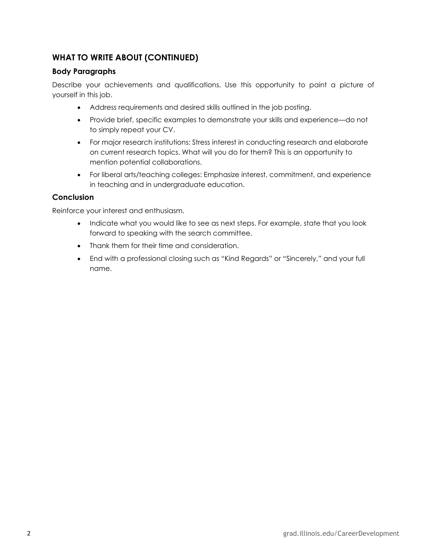## **WHAT TO WRITE ABOUT (CONTINUED)**

#### **Body Paragraphs**

Describe your achievements and qualifications. Use this opportunity to paint a picture of yourself in this job.

- Address requirements and desired skills outlined in the job posting.
- Provide brief, specific examples to demonstrate your skills and experience—do not to simply repeat your CV.
- For major research institutions: Stress interest in conducting research and elaborate on current research topics. What will you do for them? This is an opportunity to mention potential collaborations.
- For liberal arts/teaching colleges: Emphasize interest, commitment, and experience in teaching and in undergraduate education.

#### **Conclusion**

Reinforce your interest and enthusiasm.

- Indicate what you would like to see as next steps. For example, state that you look forward to speaking with the search committee.
- Thank them for their time and consideration.
- End with a professional closing such as "Kind Regards" or "Sincerely," and your full name.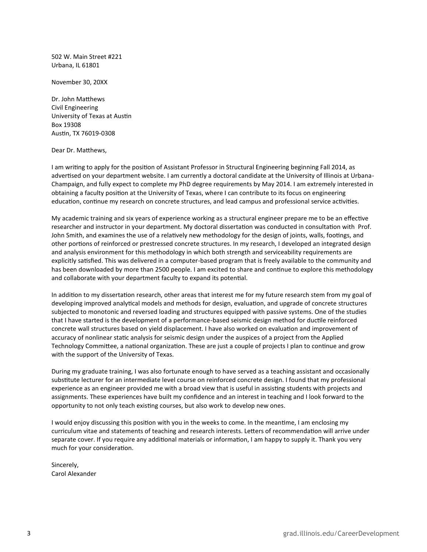502 W. Main Street #221 Urbana, IL 61801

November 30, 20XX

Dr. John Matthews Civil Engineering University of Texas at Austin Box 19308 Austin, TX 76019-0308

Dear Dr. Matthews,

I am writing to apply for the position of Assistant Professor in Structural Engineering beginning Fall 2014, as advertised on your department website. I am currently a doctoral candidate at the University of Illinois at Urbana-Champaign, and fully expect to complete my PhD degree requirements by May 2014. I am extremely interested in obtaining a faculty position at the University of Texas, where I can contribute to its focus on engineering education, continue my research on concrete structures, and lead campus and professional service activities.

My academic training and six years of experience working as a structural engineer prepare me to be an effective researcher and instructor in your department. My doctoral dissertation was conducted in consultation with Prof. John Smith, and examines the use of a relatively new methodology for the design of joints, walls, footings, and other portions of reinforced or prestressed concrete structures. In my research, I developed an integrated design and analysis environment for this methodology in which both strength and serviceability requirements are explicitly satisfied. This was delivered in a computer-based program that is freely available to the community and has been downloaded by more than 2500 people. I am excited to share and continue to explore this methodology and collaborate with your department faculty to expand its potential.

In addition to my dissertation research, other areas that interest me for my future research stem from my goal of developing improved analytical models and methods for design, evaluation, and upgrade of concrete structures subjected to monotonic and reversed loading and structures equipped with passive systems. One of the studies that I have started is the development of a performance-based seismic design method for ductile reinforced concrete wall structures based on yield displacement. I have also worked on evaluation and improvement of accuracy of nonlinear static analysis for seismic design under the auspices of a project from the Applied Technology Committee, a national organization. These are just a couple of projects I plan to continue and grow with the support of the University of Texas.

During my graduate training, I was also fortunate enough to have served as a teaching assistant and occasionally substitute lecturer for an intermediate level course on reinforced concrete design. I found that my professional experience as an engineer provided me with a broad view that is useful in assisting students with projects and assignments. These experiences have built my confidence and an interest in teaching and I look forward to the opportunity to not only teach existing courses, but also work to develop new ones.

I would enjoy discussing this position with you in the weeks to come. In the meantime, I am enclosing my curriculum vitae and statements of teaching and research interests. Letters of recommendation will arrive under separate cover. If you require any additional materials or information, I am happy to supply it. Thank you very much for your consideration.

Sincerely, Carol Alexander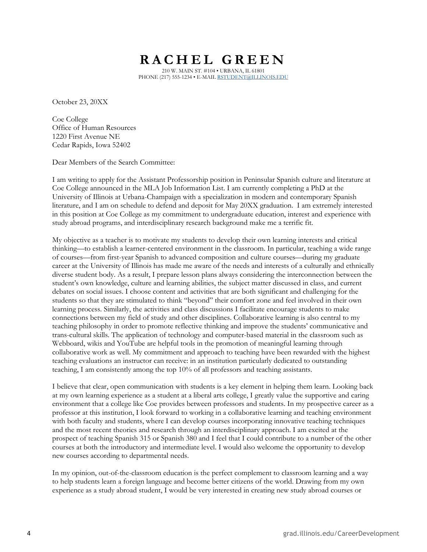# **R A C H E L G R E E N**

210 W. MAIN ST. #104 • URBANA, IL 61801 PHONE (217) 555-1234 • E-MAIL [RSTUDENT@ILLINOIS.EDU](mailto:Rstudent@illinois.edu)

October 23, 20XX

Coe College Office of Human Resources 1220 First Avenue NE Cedar Rapids, Iowa 52402

Dear Members of the Search Committee:

I am writing to apply for the Assistant Professorship position in Peninsular Spanish culture and literature at Coe College announced in the MLA Job Information List. I am currently completing a PhD at the University of Illinois at Urbana-Champaign with a specialization in modern and contemporary Spanish literature, and I am on schedule to defend and deposit for May 20XX graduation. I am extremely interested in this position at Coe College as my commitment to undergraduate education, interest and experience with study abroad programs, and interdisciplinary research background make me a terrific fit.

My objective as a teacher is to motivate my students to develop their own learning interests and critical thinking—to establish a learner-centered environment in the classroom. In particular, teaching a wide range of courses—from first-year Spanish to advanced composition and culture courses—during my graduate career at the University of Illinois has made me aware of the needs and interests of a culturally and ethnically diverse student body. As a result, I prepare lesson plans always considering the interconnection between the student's own knowledge, culture and learning abilities, the subject matter discussed in class, and current debates on social issues. I choose content and activities that are both significant and challenging for the students so that they are stimulated to think "beyond" their comfort zone and feel involved in their own learning process. Similarly, the activities and class discussions I facilitate encourage students to make connections between my field of study and other disciplines. Collaborative learning is also central to my teaching philosophy in order to promote reflective thinking and improve the students' communicative and trans-cultural skills. The application of technology and computer-based material in the classroom such as Webboard, wikis and YouTube are helpful tools in the promotion of meaningful learning through collaborative work as well. My commitment and approach to teaching have been rewarded with the highest teaching evaluations an instructor can receive: in an institution particularly dedicated to outstanding teaching, I am consistently among the top 10% of all professors and teaching assistants.

I believe that clear, open communication with students is a key element in helping them learn. Looking back at my own learning experience as a student at a liberal arts college, I greatly value the supportive and caring environment that a college like Coe provides between professors and students. In my prospective career as a professor at this institution, I look forward to working in a collaborative learning and teaching environment with both faculty and students, where I can develop courses incorporating innovative teaching techniques and the most recent theories and research through an interdisciplinary approach. I am excited at the prospect of teaching Spanish 315 or Spanish 380 and I feel that I could contribute to a number of the other courses at both the introductory and intermediate level. I would also welcome the opportunity to develop new courses according to departmental needs.

In my opinion, out-of-the-classroom education is the perfect complement to classroom learning and a way to help students learn a foreign language and become better citizens of the world. Drawing from my own experience as a study abroad student, I would be very interested in creating new study abroad courses or